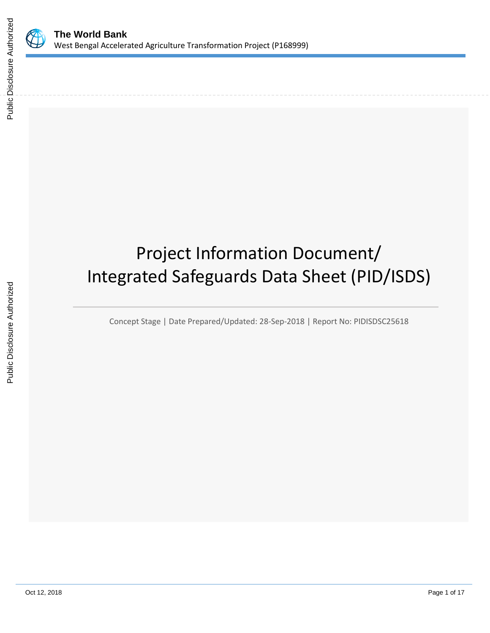

# Project Information Document/ Integrated Safeguards Data Sheet (PID/ISDS)

Concept Stage | Date Prepared/Updated: 28-Sep-2018 | Report No: PIDISDSC25618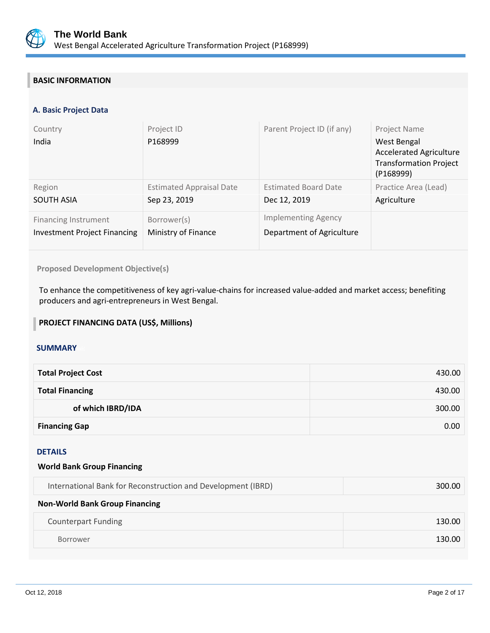

# **BASIC INFORMATION**

## **A. Basic Project Data**

| Country<br>India                    | Project ID<br>P168999           | Parent Project ID (if any)  | Project Name<br>West Bengal<br><b>Accelerated Agriculture</b><br><b>Transformation Project</b><br>(P168999) |
|-------------------------------------|---------------------------------|-----------------------------|-------------------------------------------------------------------------------------------------------------|
| Region                              | <b>Estimated Appraisal Date</b> | <b>Estimated Board Date</b> | Practice Area (Lead)                                                                                        |
| <b>SOUTH ASIA</b>                   | Sep 23, 2019                    | Dec 12, 2019                | Agriculture                                                                                                 |
| <b>Financing Instrument</b>         | Borrower(s)                     | <b>Implementing Agency</b>  |                                                                                                             |
| <b>Investment Project Financing</b> | Ministry of Finance             | Department of Agriculture   |                                                                                                             |

**Proposed Development Objective(s)** 

To enhance the competitiveness of key agri-value-chains for increased value-added and market access; benefiting producers and agri-entrepreneurs in West Bengal.

## **PROJECT FINANCING DATA (US\$, Millions)**

## **SUMMARY**

| <b>Total Project Cost</b> | 430.00 |
|---------------------------|--------|
| <b>Total Financing</b>    | 430.00 |
| of which IBRD/IDA         | 300.00 |
| <b>Financing Gap</b>      | 0.00   |

## DETAILS

| <b>World Bank Group Financing</b>                            |        |
|--------------------------------------------------------------|--------|
| International Bank for Reconstruction and Development (IBRD) | 300.00 |
| <b>Non-World Bank Group Financing</b>                        |        |
| <b>Counterpart Funding</b>                                   | 130.00 |
|                                                              |        |

Borrower **130.00**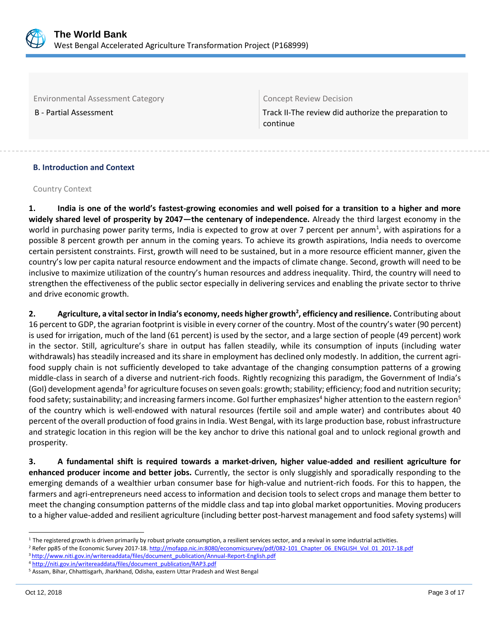

Environmental Assessment Category **Concept Review Decision** 

B - Partial Assessment Track II-The review did authorize the preparation to continue

## **B. Introduction and Context**

Country Context

**1. India is one of the world's fastest-growing economies and well poised for a transition to a higher and more widely shared level of prosperity by 2047—the centenary of independence.** Already the third largest economy in the world in purchasing power parity terms, India is expected to grow at over 7 percent per annum<sup>1</sup>, with aspirations for a possible 8 percent growth per annum in the coming years. To achieve its growth aspirations, India needs to overcome certain persistent constraints. First, growth will need to be sustained, but in a more resource efficient manner, given the country's low per capita natural resource endowment and the impacts of climate change. Second, growth will need to be inclusive to maximize utilization of the country's human resources and address inequality. Third, the country will need to strengthen the effectiveness of the public sector especially in delivering services and enabling the private sector to thrive and drive economic growth.

**2. Agriculture, a vital sector in India's economy, needs higher growth<sup>2</sup> , efficiency and resilience.** Contributing about 16 percent to GDP, the agrarian footprint is visible in every corner of the country. Most of the country's water (90 percent) is used for irrigation, much of the land (61 percent) is used by the sector, and a large section of people (49 percent) work in the sector. Still, agriculture's share in output has fallen steadily, while its consumption of inputs (including water withdrawals) has steadily increased and its share in employment has declined only modestly. In addition, the current agrifood supply chain is not sufficiently developed to take advantage of the changing consumption patterns of a growing middle-class in search of a diverse and nutrient-rich foods. Rightly recognizing this paradigm, the Government of India's (GoI) development agenda<sup>3</sup> for agriculture focuses on seven goals: growth; stability; efficiency; food and nutrition security; food safety; sustainability; and increasing farmers income. GoI further emphasizes<sup>4</sup> higher attention to the eastern region<sup>5</sup> of the country which is well-endowed with natural resources (fertile soil and ample water) and contributes about 40 percent of the overall production of food grains in India. West Bengal, with its large production base, robust infrastructure and strategic location in this region will be the key anchor to drive this national goal and to unlock regional growth and prosperity.

**3. A fundamental shift is required towards a market-driven, higher value-added and resilient agriculture for enhanced producer income and better jobs.** Currently, the sector is only sluggishly and sporadically responding to the emerging demands of a wealthier urban consumer base for high-value and nutrient-rich foods. For this to happen, the farmers and agri-entrepreneurs need access to information and decision tools to select crops and manage them better to meet the changing consumption patterns of the middle class and tap into global market opportunities. Moving producers to a higher value-added and resilient agriculture (including better post-harvest management and food safety systems) will

<sup>3</sup> [http://www.niti.gov.in/writereaddata/files/document\\_publication/Annual-Report-English.pdf](http://www.niti.gov.in/writereaddata/files/document_publication/Annual-Report-English.pdf)

 $\overline{a}$  $1$  The registered growth is driven primarily by robust private consumption, a resilient services sector, and a revival in some industrial activities.

<sup>&</sup>lt;sup>2</sup> Refer pp85 of the Economic Survey 2017-18[. http://mofapp.nic.in:8080/economicsurvey/pdf/082-101\\_Chapter\\_06\\_ENGLISH\\_Vol\\_01\\_2017-18.pdf](http://mofapp.nic.in:8080/economicsurvey/pdf/082-101_Chapter_06_ENGLISH_Vol_01_2017-18.pdf)

<sup>4</sup> [http://niti.gov.in/writereaddata/files/document\\_publication/RAP3.pdf](http://niti.gov.in/writereaddata/files/document_publication/RAP3.pdf)

<sup>5</sup> Assam, Bihar, Chhattisgarh, Jharkhand, Odisha, eastern Uttar Pradesh and West Bengal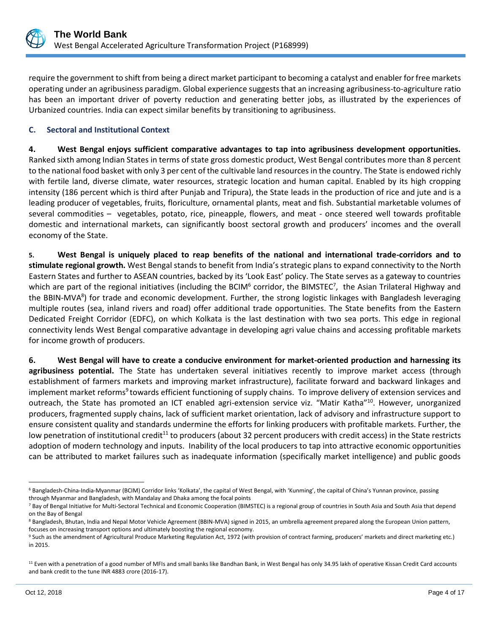

require the government to shift from being a direct market participant to becoming a catalyst and enabler for free markets operating under an agribusiness paradigm. Global experience suggests that an increasing agribusiness-to-agriculture ratio has been an important driver of poverty reduction and generating better jobs, as illustrated by the experiences of Urbanized countries. India can expect similar benefits by transitioning to agribusiness.

## **C. Sectoral and Institutional Context**

**4. West Bengal enjoys sufficient comparative advantages to tap into agribusiness development opportunities.** Ranked sixth among Indian States in terms of state gross domestic product, West Bengal contributes more than 8 percent to the national food basket with only 3 per cent of the cultivable land resources in the country. The State is endowed richly with fertile land, diverse climate, water resources, strategic location and human capital. Enabled by its high cropping intensity (186 percent which is third after Punjab and Tripura), the State leads in the production of rice and jute and is a leading producer of vegetables, fruits, floriculture, ornamental plants, meat and fish. Substantial marketable volumes of several commodities – vegetables, potato, rice, pineapple, flowers, and meat - once steered well towards profitable domestic and international markets, can significantly boost sectoral growth and producers' incomes and the overall economy of the State.

**5. West Bengal is uniquely placed to reap benefits of the national and international trade-corridors and to stimulate regional growth.** West Bengal stands to benefit from India's strategic plans to expand connectivity to the North Eastern States and further to ASEAN countries, backed by its 'Look East' policy. The State serves as a gateway to countries which are part of the regional initiatives (including the BCIM<sup>6</sup> corridor, the BIMSTEC<sup>7</sup>, the Asian Trilateral Highway and the BBIN-MVA<sup>8</sup>) for trade and economic development. Further, the strong logistic linkages with Bangladesh leveraging multiple routes (sea, inland rivers and road) offer additional trade opportunities. The State benefits from the Eastern Dedicated Freight Corridor (EDFC), on which Kolkata is the last destination with two sea ports. This edge in regional connectivity lends West Bengal comparative advantage in developing agri value chains and accessing profitable markets for income growth of producers.

**6. West Bengal will have to create a conducive environment for market-oriented production and harnessing its agribusiness potential.** The State has undertaken several initiatives recently to improve market access (through establishment of farmers markets and improving market infrastructure), facilitate forward and backward linkages and implement market reforms<sup>9</sup> towards efficient functioning of supply chains. To improve delivery of extension services and outreach, the State has promoted an ICT enabled agri-extension service viz. "Matir Katha"<sup>10</sup>. However, unorganized producers, fragmented supply chains, lack of sufficient market orientation, lack of advisory and infrastructure support to ensure consistent quality and standards undermine the efforts for linking producers with profitable markets. Further, the low penetration of institutional credit<sup>11</sup> to producers (about 32 percent producers with credit access) in the State restricts adoption of modern technology and inputs. Inability of the local producers to tap into attractive economic opportunities can be attributed to market failures such as inadequate information (specifically market intelligence) and public goods

 $\overline{a}$ 

<sup>6</sup> Bangladesh-China-India-Myanmar (BCIM) Corridor links 'Kolkata', the capital of West Bengal, with 'Kunming', the capital of China's Yunnan province, passing through Myanmar and Bangladesh, with Mandalay and Dhaka among the focal points

<sup>&</sup>lt;sup>7</sup> Bay of Bengal Initiative for Multi-Sectoral Technical and Economic Cooperation (BIMSTEC) is a regional group of countries in South Asia and South Asia that depend on the Bay of Bengal

<sup>&</sup>lt;sup>8</sup> Bangladesh, Bhutan, India and Nepal Motor Vehicle Agreement (BBIN-MVA) signed in 2015, an umbrella agreement prepared along the European Union pattern, focuses on increasing transport options and ultimately boosting the regional economy.

<sup>9</sup> Such as the amendment of Agricultural Produce Marketing Regulation Act, 1972 (with provision of contract farming, producers' markets and direct marketing etc.) in 2015.

<sup>&</sup>lt;sup>11</sup> Even with a penetration of a good number of MFIs and small banks like Bandhan Bank, in West Bengal has only 34.95 lakh of operative Kissan Credit Card accounts and bank credit to the tune INR 4883 crore (2016-17).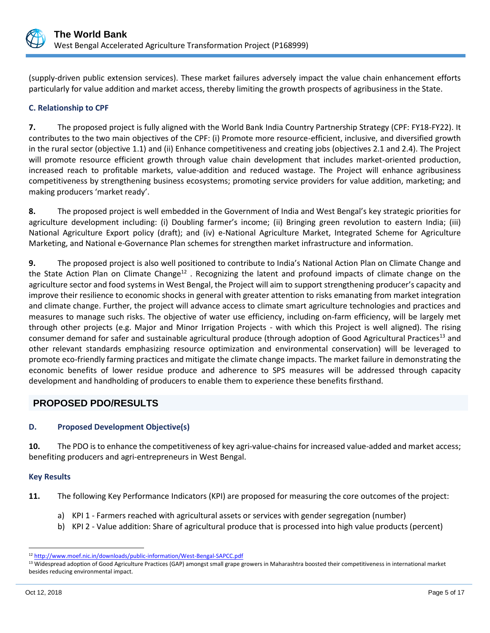

(supply-driven public extension services). These market failures adversely impact the value chain enhancement efforts particularly for value addition and market access, thereby limiting the growth prospects of agribusiness in the State.

## **C. Relationship to CPF**

**7.** The proposed project is fully aligned with the World Bank India Country Partnership Strategy (CPF: FY18-FY22). It contributes to the two main objectives of the CPF: (i) Promote more resource-efficient, inclusive, and diversified growth in the rural sector (objective 1.1) and (ii) Enhance competitiveness and creating jobs (objectives 2.1 and 2.4). The Project will promote resource efficient growth through value chain development that includes market-oriented production, increased reach to profitable markets, value-addition and reduced wastage. The Project will enhance agribusiness competitiveness by strengthening business ecosystems; promoting service providers for value addition, marketing; and making producers 'market ready'.

**8.** The proposed project is well embedded in the Government of India and West Bengal's key strategic priorities for agriculture development including: (i) Doubling farmer's income; (ii) Bringing green revolution to eastern India; (iii) National Agriculture Export policy (draft); and (iv) e-National Agriculture Market, Integrated Scheme for Agriculture Marketing, and National e-Governance Plan schemes for strengthen market infrastructure and information.

**9.** The proposed project is also well positioned to contribute to India's National Action Plan on Climate Change and the State Action Plan on Climate Change<sup>12</sup>. Recognizing the latent and profound impacts of climate change on the agriculture sector and food systems in West Bengal, the Project will aim to support strengthening producer's capacity and improve their resilience to economic shocks in general with greater attention to risks emanating from market integration and climate change. Further, the project will advance access to climate smart agriculture technologies and practices and measures to manage such risks. The objective of water use efficiency, including on-farm efficiency, will be largely met through other projects (e.g. Major and Minor Irrigation Projects - with which this Project is well aligned). The rising consumer demand for safer and sustainable agricultural produce (through adoption of Good Agricultural Practices<sup>13</sup> and other relevant standards emphasizing resource optimization and environmental conservation) will be leveraged to promote eco-friendly farming practices and mitigate the climate change impacts. The market failure in demonstrating the economic benefits of lower residue produce and adherence to SPS measures will be addressed through capacity development and handholding of producers to enable them to experience these benefits firsthand.

# **PROPOSED PDO/RESULTS**

## **D. Proposed Development Objective(s)**

**10.** The PDO is to enhance the competitiveness of key agri-value-chains for increased value-added and market access; benefiting producers and agri-entrepreneurs in West Bengal.

## **Key Results**

**11.** The following Key Performance Indicators (KPI) are proposed for measuring the core outcomes of the project:

- a) KPI 1 Farmers reached with agricultural assets or services with gender segregation (number)
- b) KPI 2 Value addition: Share of agricultural produce that is processed into high value products (percent)

 $\overline{a}$ 

<sup>12</sup> <http://www.moef.nic.in/downloads/public-information/West-Bengal-SAPCC.pdf>

<sup>&</sup>lt;sup>13</sup> Widespread adoption of Good Agriculture Practices (GAP) amongst small grape growers in Maharashtra boosted their competitiveness in international market besides reducing environmental impact.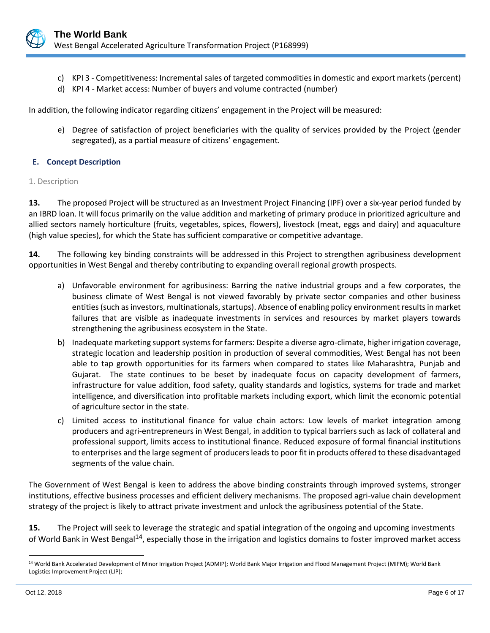

- c) KPI 3 Competitiveness: Incremental sales of targeted commodities in domestic and export markets (percent)
- d) KPI 4 Market access: Number of buyers and volume contracted (number)

In addition, the following indicator regarding citizens' engagement in the Project will be measured:

e) Degree of satisfaction of project beneficiaries with the quality of services provided by the Project (gender segregated), as a partial measure of citizens' engagement.

## **E. Concept Description**

#### 1. Description

**13.** The proposed Project will be structured as an Investment Project Financing (IPF) over a six-year period funded by an IBRD loan. It will focus primarily on the value addition and marketing of primary produce in prioritized agriculture and allied sectors namely horticulture (fruits, vegetables, spices, flowers), livestock (meat, eggs and dairy) and aquaculture (high value species), for which the State has sufficient comparative or competitive advantage.

**14.** The following key binding constraints will be addressed in this Project to strengthen agribusiness development opportunities in West Bengal and thereby contributing to expanding overall regional growth prospects.

- a) Unfavorable environment for agribusiness: Barring the native industrial groups and a few corporates, the business climate of West Bengal is not viewed favorably by private sector companies and other business entities (such as investors, multinationals, startups). Absence of enabling policy environment results in market failures that are visible as inadequate investments in services and resources by market players towards strengthening the agribusiness ecosystem in the State.
- b) Inadequate marketing support systems for farmers: Despite a diverse agro-climate, higher irrigation coverage, strategic location and leadership position in production of several commodities, West Bengal has not been able to tap growth opportunities for its farmers when compared to states like Maharashtra, Punjab and Gujarat. The state continues to be beset by inadequate focus on capacity development of farmers, infrastructure for value addition, food safety, quality standards and logistics, systems for trade and market intelligence, and diversification into profitable markets including export, which limit the economic potential of agriculture sector in the state.
- c) Limited access to institutional finance for value chain actors: Low levels of market integration among producers and agri-entrepreneurs in West Bengal, in addition to typical barriers such as lack of collateral and professional support, limits access to institutional finance. Reduced exposure of formal financial institutions to enterprises and the large segment of producers leads to poor fit in products offered to these disadvantaged segments of the value chain.

The Government of West Bengal is keen to address the above binding constraints through improved systems, stronger institutions, effective business processes and efficient delivery mechanisms. The proposed agri-value chain development strategy of the project is likely to attract private investment and unlock the agribusiness potential of the State.

**15.** The Project will seek to leverage the strategic and spatial integration of the ongoing and upcoming investments of World Bank in West Bengal<sup>14</sup>, especially those in the irrigation and logistics domains to foster improved market access

 $\overline{a}$ 

<sup>14</sup> World Bank Accelerated Development of Minor Irrigation Project (ADMIP); World Bank Major Irrigation and Flood Management Project (MIFM); World Bank Logistics Improvement Project (LIP);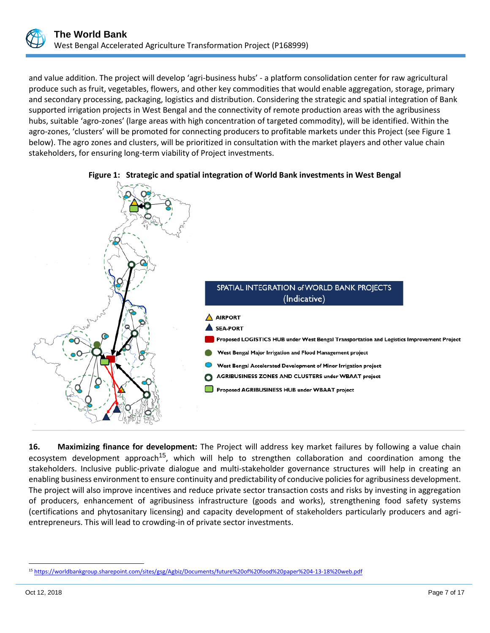

and value addition. The project will develop 'agri-business hubs' - a platform consolidation center for raw agricultural produce such as fruit, vegetables, flowers, and other key commodities that would enable aggregation, storage, primary and secondary processing, packaging, logistics and distribution. Considering the strategic and spatial integration of Bank supported irrigation projects in West Bengal and the connectivity of remote production areas with the agribusiness hubs, suitable 'agro-zones' (large areas with high concentration of targeted commodity), will be identified. Within the agro-zones, 'clusters' will be promoted for connecting producers to profitable markets under this Project (see Figure 1 below). The agro zones and clusters, will be prioritized in consultation with the market players and other value chain stakeholders, for ensuring long-term viability of Project investments.



#### **Figure 1: Strategic and spatial integration of World Bank investments in West Bengal**

**16. Maximizing finance for development:** The Project will address key market failures by following a value chain ecosystem development approach<sup>15</sup>, which will help to strengthen collaboration and coordination among the stakeholders. Inclusive public-private dialogue and multi-stakeholder governance structures will help in creating an enabling business environment to ensure continuity and predictability of conducive policies for agribusiness development. The project will also improve incentives and reduce private sector transaction costs and risks by investing in aggregation of producers, enhancement of agribusiness infrastructure (goods and works), strengthening food safety systems (certifications and phytosanitary licensing) and capacity development of stakeholders particularly producers and agrientrepreneurs. This will lead to crowding-in of private sector investments.

 $\overline{a}$ <sup>15</sup> <https://worldbankgroup.sharepoint.com/sites/gsg/Agbiz/Documents/future%20of%20food%20paper%204-13-18%20web.pdf>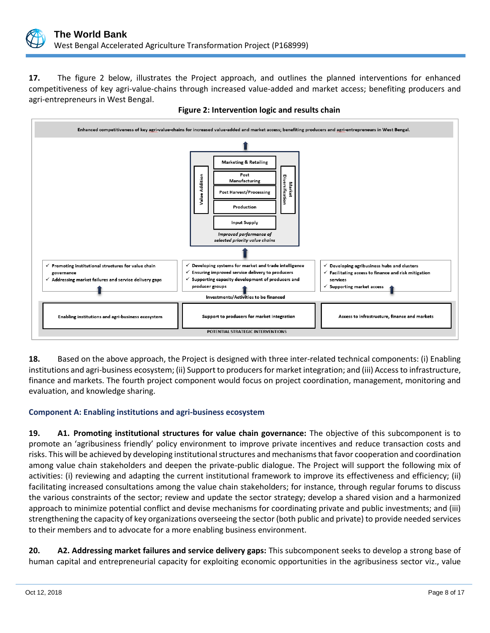

**17.** The figure 2 below, illustrates the Project approach, and outlines the planned interventions for enhanced competitiveness of key agri-value-chains through increased value-added and market access; benefiting producers and agri-entrepreneurs in West Bengal.



**Figure 2: Intervention logic and results chain**

**18.** Based on the above approach, the Project is designed with three inter-related technical components: (i) Enabling institutions and agri-business ecosystem; (ii) Support to producers for market integration; and (iii) Access to infrastructure, finance and markets. The fourth project component would focus on project coordination, management, monitoring and evaluation, and knowledge sharing.

# **Component A: Enabling institutions and agri-business ecosystem**

**19. A1. Promoting institutional structures for value chain governance:** The objective of this subcomponent is to promote an 'agribusiness friendly' policy environment to improve private incentives and reduce transaction costs and risks. This will be achieved by developing institutional structures and mechanisms that favor cooperation and coordination among value chain stakeholders and deepen the private-public dialogue. The Project will support the following mix of activities: (i) reviewing and adapting the current institutional framework to improve its effectiveness and efficiency; (ii) facilitating increased consultations among the value chain stakeholders; for instance, through regular forums to discuss the various constraints of the sector; review and update the sector strategy; develop a shared vision and a harmonized approach to minimize potential conflict and devise mechanisms for coordinating private and public investments; and (iii) strengthening the capacity of key organizations overseeing the sector (both public and private) to provide needed services to their members and to advocate for a more enabling business environment.

**20. A2. Addressing market failures and service delivery gaps:** This subcomponent seeks to develop a strong base of human capital and entrepreneurial capacity for exploiting economic opportunities in the agribusiness sector viz., value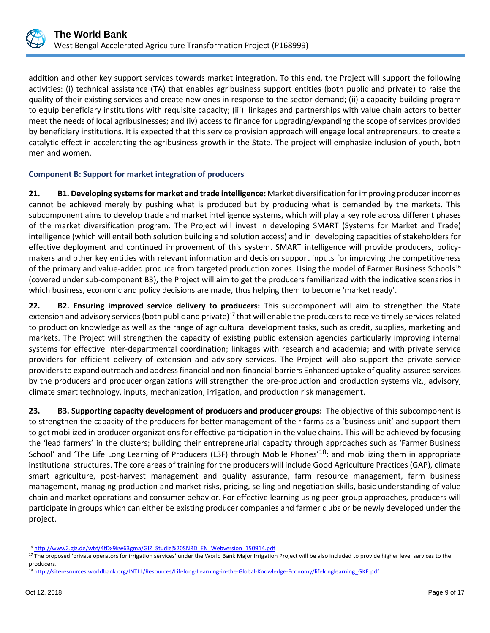

addition and other key support services towards market integration. To this end, the Project will support the following activities: (i) technical assistance (TA) that enables agribusiness support entities (both public and private) to raise the quality of their existing services and create new ones in response to the sector demand; (ii) a capacity-building program to equip beneficiary institutions with requisite capacity; (iii) linkages and partnerships with value chain actors to better meet the needs of local agribusinesses; and (iv) access to finance for upgrading/expanding the scope of services provided by beneficiary institutions. It is expected that this service provision approach will engage local entrepreneurs, to create a catalytic effect in accelerating the agribusiness growth in the State. The project will emphasize inclusion of youth, both men and women.

## **Component B: Support for market integration of producers**

**21. B1. Developing systems for market and trade intelligence:** Market diversification for improving producer incomes cannot be achieved merely by pushing what is produced but by producing what is demanded by the markets. This subcomponent aims to develop trade and market intelligence systems, which will play a key role across different phases of the market diversification program. The Project will invest in developing SMART (Systems for Market and Trade) intelligence (which will entail both solution building and solution access) and in developing capacities of stakeholders for effective deployment and continued improvement of this system. SMART intelligence will provide producers, policymakers and other key entities with relevant information and decision support inputs for improving the competitiveness of the primary and value-added produce from targeted production zones. Using the model of Farmer Business Schools<sup>16</sup> (covered under sub-component B3), the Project will aim to get the producers familiarized with the indicative scenarios in which business, economic and policy decisions are made, thus helping them to become 'market ready'.

**22. B2. Ensuring improved service delivery to producers:** This subcomponent will aim to strengthen the State extension and advisory services (both public and private)<sup>17</sup> that will enable the producers to receive timely services related to production knowledge as well as the range of agricultural development tasks, such as credit, supplies, marketing and markets. The Project will strengthen the capacity of existing public extension agencies particularly improving internal systems for effective inter-departmental coordination; linkages with research and academia; and with private service providers for efficient delivery of extension and advisory services. The Project will also support the private service providers to expand outreach and address financial and non-financial barriers Enhanced uptake of quality-assured services by the producers and producer organizations will strengthen the pre-production and production systems viz., advisory, climate smart technology, inputs, mechanization, irrigation, and production risk management.

**23. B3. Supporting capacity development of producers and producer groups:** The objective of this subcomponent is to strengthen the capacity of the producers for better management of their farms as a 'business unit' and support them to get mobilized in producer organizations for effective participation in the value chains. This will be achieved by focusing the 'lead farmers' in the clusters; building their entrepreneurial capacity through approaches such as 'Farmer Business School' and 'The Life Long Learning of Producers (L3F) through Mobile Phones'<sup>18</sup>; and mobilizing them in appropriate institutional structures. The core areas of training for the producers will include Good Agriculture Practices (GAP), climate smart agriculture, post-harvest management and quality assurance, farm resource management, farm business management, managing production and market risks, pricing, selling and negotiation skills, basic understanding of value chain and market operations and consumer behavior. For effective learning using peer-group approaches, producers will participate in groups which can either be existing producer companies and farmer clubs or be newly developed under the project.

 $\overline{a}$ <sup>16</sup> [http://www2.giz.de/wbf/4tDx9kw63gma/GIZ\\_Studie%20SNRD\\_EN\\_Webversion\\_150914.pdf](http://www2.giz.de/wbf/4tDx9kw63gma/GIZ_Studie%20SNRD_EN_Webversion_150914.pdf)

<sup>&</sup>lt;sup>17</sup> The proposed 'private operators for irrigation services' under the World Bank Major Irrigation Project will be also included to provide higher level services to the producers.

<sup>&</sup>lt;sup>18</sup> http://siteresources.worldbank.org/INTLL/Resources/Lifelong-Learning-in-the-Global-Knowledge-Economy/lifelonglearning GKE.pdf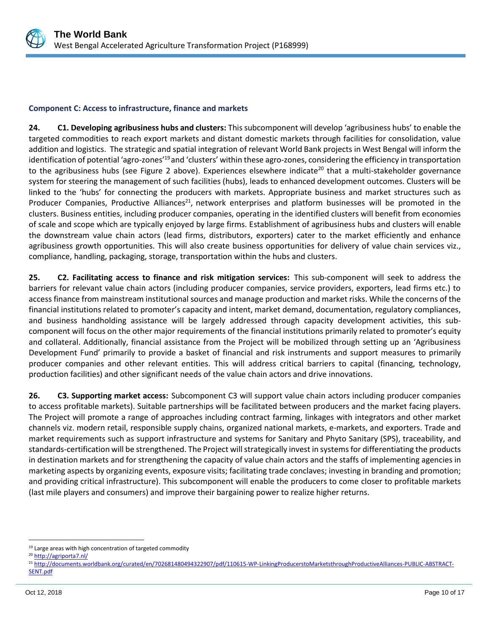

## **Component C: Access to infrastructure, finance and markets**

**24. C1. Developing agribusiness hubs and clusters:** This subcomponent will develop 'agribusiness hubs' to enable the targeted commodities to reach export markets and distant domestic markets through facilities for consolidation, value addition and logistics. The strategic and spatial integration of relevant World Bank projects in West Bengal will inform the identification of potential 'agro-zones'<sup>19</sup> and 'clusters' within these agro-zones, considering the efficiency in transportation to the agribusiness hubs (see Figure 2 above). Experiences elsewhere indicate<sup>20</sup> that a multi-stakeholder governance system for steering the management of such facilities (hubs), leads to enhanced development outcomes. Clusters will be linked to the 'hubs' for connecting the producers with markets. Appropriate business and market structures such as Producer Companies, Productive Alliances<sup>21</sup>, network enterprises and platform businesses will be promoted in the clusters. Business entities, including producer companies, operating in the identified clusters will benefit from economies of scale and scope which are typically enjoyed by large firms. Establishment of agribusiness hubs and clusters will enable the downstream value chain actors (lead firms, distributors, exporters) cater to the market efficiently and enhance agribusiness growth opportunities. This will also create business opportunities for delivery of value chain services viz., compliance, handling, packaging, storage, transportation within the hubs and clusters.

**25. C2. Facilitating access to finance and risk mitigation services:** This sub-component will seek to address the barriers for relevant value chain actors (including producer companies, service providers, exporters, lead firms etc.) to access finance from mainstream institutional sources and manage production and market risks. While the concerns of the financial institutions related to promoter's capacity and intent, market demand, documentation, regulatory compliances, and business handholding assistance will be largely addressed through capacity development activities, this subcomponent will focus on the other major requirements of the financial institutions primarily related to promoter's equity and collateral. Additionally, financial assistance from the Project will be mobilized through setting up an 'Agribusiness Development Fund' primarily to provide a basket of financial and risk instruments and support measures to primarily producer companies and other relevant entities. This will address critical barriers to capital (financing, technology, production facilities) and other significant needs of the value chain actors and drive innovations.

**26. C3. Supporting market access:** Subcomponent C3 will support value chain actors including producer companies to access profitable markets). Suitable partnerships will be facilitated between producers and the market facing players. The Project will promote a range of approaches including contract farming, linkages with integrators and other market channels viz. modern retail, responsible supply chains, organized national markets, e-markets, and exporters. Trade and market requirements such as support infrastructure and systems for Sanitary and Phyto Sanitary (SPS), traceability, and standards-certification will be strengthened. The Project will strategically invest in systems for differentiating the products in destination markets and for strengthening the capacity of value chain actors and the staffs of implementing agencies in marketing aspects by organizing events, exposure visits; facilitating trade conclaves; investing in branding and promotion; and providing critical infrastructure). This subcomponent will enable the producers to come closer to profitable markets (last mile players and consumers) and improve their bargaining power to realize higher returns.

 $\overline{a}$ <sup>19</sup> Large areas with high concentration of targeted commodity

<sup>20</sup> <http://agriporta7.nl/>

<sup>21</sup> [http://documents.worldbank.org/curated/en/702681480494322907/pdf/110615-WP-LinkingProducerstoMarketsthroughProductiveAlliances-PUBLIC-ABSTRACT-](http://documents.worldbank.org/curated/en/702681480494322907/pdf/110615-WP-LinkingFarmerstoMarketsthroughProductiveAlliances-PUBLIC-ABSTRACT-SENT.pdf)[SENT.pdf](http://documents.worldbank.org/curated/en/702681480494322907/pdf/110615-WP-LinkingFarmerstoMarketsthroughProductiveAlliances-PUBLIC-ABSTRACT-SENT.pdf)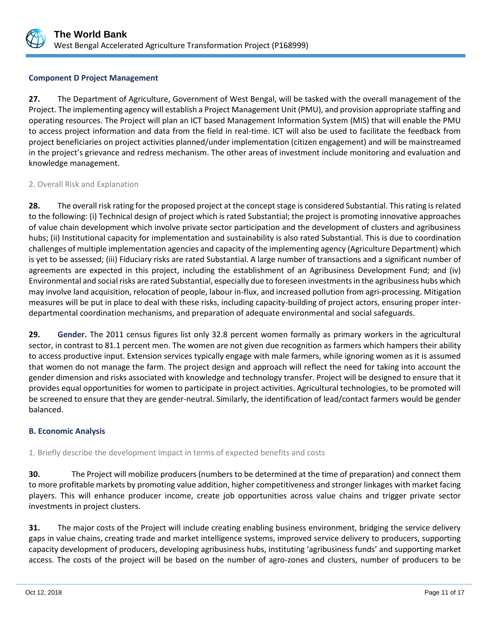

## **Component D Project Management**

**27.** The Department of Agriculture, Government of West Bengal, will be tasked with the overall management of the Project. The implementing agency will establish a Project Management Unit (PMU), and provision appropriate staffing and operating resources. The Project will plan an ICT based Management Information System (MIS) that will enable the PMU to access project information and data from the field in real-time. ICT will also be used to facilitate the feedback from project beneficiaries on project activities planned/under implementation (citizen engagement) and will be mainstreamed in the project's grievance and redress mechanism. The other areas of investment include monitoring and evaluation and knowledge management.

## 2. Overall Risk and Explanation

**28.** The overall risk rating for the proposed project at the concept stage is considered Substantial. This rating is related to the following: (i) Technical design of project which is rated Substantial; the project is promoting innovative approaches of value chain development which involve private sector participation and the development of clusters and agribusiness hubs; (ii) Institutional capacity for implementation and sustainability is also rated Substantial. This is due to coordination challenges of multiple implementation agencies and capacity of the implementing agency (Agriculture Department) which is yet to be assessed; (iii) Fiduciary risks are rated Substantial. A large number of transactions and a significant number of agreements are expected in this project, including the establishment of an Agribusiness Development Fund; and (iv) Environmental and social risks are rated Substantial, especially due to foreseen investments in the agribusiness hubs which may involve land acquisition, relocation of people, labour in-flux, and increased pollution from agri-processing. Mitigation measures will be put in place to deal with these risks, including capacity-building of project actors, ensuring proper interdepartmental coordination mechanisms, and preparation of adequate environmental and social safeguards.

**29. Gender.** The 2011 census figures list only 32.8 percent women formally as primary workers in the agricultural sector, in contrast to 81.1 percent men. The women are not given due recognition as farmers which hampers their ability to access productive input. Extension services typically engage with male farmers, while ignoring women as it is assumed that women do not manage the farm. The project design and approach will reflect the need for taking into account the gender dimension and risks associated with knowledge and technology transfer. Project will be designed to ensure that it provides equal opportunities for women to participate in project activities. Agricultural technologies, to be promoted will be screened to ensure that they are gender-neutral. Similarly, the identification of lead/contact farmers would be gender balanced.

## **B. Economic Analysis**

1. Briefly describe the development impact in terms of expected benefits and costs

**30.** The Project will mobilize producers (numbers to be determined at the time of preparation) and connect them to more profitable markets by promoting value addition, higher competitiveness and stronger linkages with market facing players. This will enhance producer income, create job opportunities across value chains and trigger private sector investments in project clusters.

**31.** The major costs of the Project will include creating enabling business environment, bridging the service delivery gaps in value chains, creating trade and market intelligence systems, improved service delivery to producers, supporting capacity development of producers, developing agribusiness hubs, instituting 'agribusiness funds' and supporting market access. The costs of the project will be based on the number of agro-zones and clusters, number of producers to be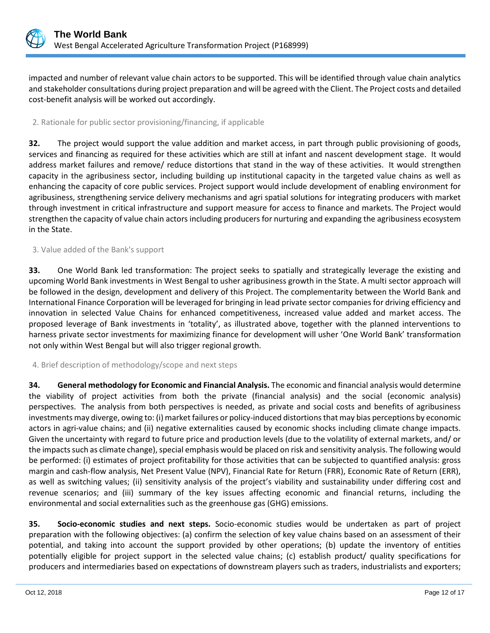

impacted and number of relevant value chain actors to be supported. This will be identified through value chain analytics and stakeholder consultations during project preparation and will be agreed with the Client. The Project costs and detailed cost-benefit analysis will be worked out accordingly.

## 2. Rationale for public sector provisioning/financing, if applicable

**32.** The project would support the value addition and market access, in part through public provisioning of goods, services and financing as required for these activities which are still at infant and nascent development stage. It would address market failures and remove/ reduce distortions that stand in the way of these activities. It would strengthen capacity in the agribusiness sector, including building up institutional capacity in the targeted value chains as well as enhancing the capacity of core public services. Project support would include development of enabling environment for agribusiness, strengthening service delivery mechanisms and agri spatial solutions for integrating producers with market through investment in critical infrastructure and support measure for access to finance and markets. The Project would strengthen the capacity of value chain actors including producers for nurturing and expanding the agribusiness ecosystem in the State.

## 3. Value added of the Bank's support

**33.** One World Bank led transformation: The project seeks to spatially and strategically leverage the existing and upcoming World Bank investments in West Bengal to usher agribusiness growth in the State. A multi sector approach will be followed in the design, development and delivery of this Project. The complementarity between the World Bank and International Finance Corporation will be leveraged for bringing in lead private sector companies for driving efficiency and innovation in selected Value Chains for enhanced competitiveness, increased value added and market access. The proposed leverage of Bank investments in 'totality', as illustrated above, together with the planned interventions to harness private sector investments for maximizing finance for development will usher 'One World Bank' transformation not only within West Bengal but will also trigger regional growth.

## 4. Brief description of methodology/scope and next steps

**34. General methodology for Economic and Financial Analysis.** The economic and financial analysis would determine the viability of project activities from both the private (financial analysis) and the social (economic analysis) perspectives. The analysis from both perspectives is needed, as private and social costs and benefits of agribusiness investments may diverge, owing to: (i) market failures or policy-induced distortions that may bias perceptions by economic actors in agri-value chains; and (ii) negative externalities caused by economic shocks including climate change impacts. Given the uncertainty with regard to future price and production levels (due to the volatility of external markets, and/ or the impacts such as climate change), special emphasis would be placed on risk and sensitivity analysis. The following would be performed: (i) estimates of project profitability for those activities that can be subjected to quantified analysis: gross margin and cash-flow analysis, Net Present Value (NPV), Financial Rate for Return (FRR), Economic Rate of Return (ERR), as well as switching values; (ii) sensitivity analysis of the project's viability and sustainability under differing cost and revenue scenarios; and (iii) summary of the key issues affecting economic and financial returns, including the environmental and social externalities such as the greenhouse gas (GHG) emissions.

**35. Socio-economic studies and next steps.** Socio-economic studies would be undertaken as part of project preparation with the following objectives: (a) confirm the selection of key value chains based on an assessment of their potential, and taking into account the support provided by other operations; (b) update the inventory of entities potentially eligible for project support in the selected value chains; (c) establish product/ quality specifications for producers and intermediaries based on expectations of downstream players such as traders, industrialists and exporters;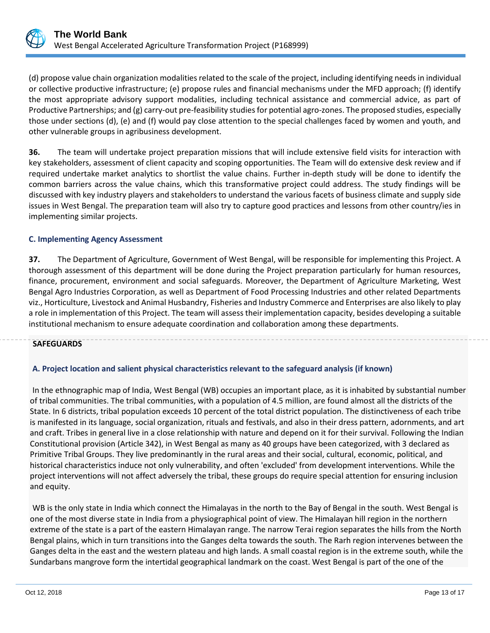

(d) propose value chain organization modalities related to the scale of the project, including identifying needs in individual or collective productive infrastructure; (e) propose rules and financial mechanisms under the MFD approach; (f) identify the most appropriate advisory support modalities, including technical assistance and commercial advice, as part of Productive Partnerships; and (g) carry-out pre-feasibility studies for potential agro-zones. The proposed studies, especially those under sections (d), (e) and (f) would pay close attention to the special challenges faced by women and youth, and other vulnerable groups in agribusiness development.

**36.** The team will undertake project preparation missions that will include extensive field visits for interaction with key stakeholders, assessment of client capacity and scoping opportunities. The Team will do extensive desk review and if required undertake market analytics to shortlist the value chains. Further in-depth study will be done to identify the common barriers across the value chains, which this transformative project could address. The study findings will be discussed with key industry players and stakeholders to understand the various facets of business climate and supply side issues in West Bengal. The preparation team will also try to capture good practices and lessons from other country/ies in implementing similar projects.

## **C. Implementing Agency Assessment**

**37.** The Department of Agriculture, Government of West Bengal, will be responsible for implementing this Project. A thorough assessment of this department will be done during the Project preparation particularly for human resources, finance, procurement, environment and social safeguards. Moreover, the Department of Agriculture Marketing, West Bengal Agro Industries Corporation, as well as Department of Food Processing Industries and other related Departments viz., Horticulture, Livestock and Animal Husbandry, Fisheries and Industry Commerce and Enterprises are also likely to play a role in implementation of this Project. The team will assess their implementation capacity, besides developing a suitable institutional mechanism to ensure adequate coordination and collaboration among these departments.

## **SAFEGUARDS**

# **A. Project location and salient physical characteristics relevant to the safeguard analysis (if known)**

In the ethnographic map of India, West Bengal (WB) occupies an important place, as it is inhabited by substantial number of tribal communities. The tribal communities, with a population of 4.5 million, are found almost all the districts of the State. In 6 districts, tribal population exceeds 10 percent of the total district population. The distinctiveness of each tribe is manifested in its language, social organization, rituals and festivals, and also in their dress pattern, adornments, and art and craft. Tribes in general live in a close relationship with nature and depend on it for their survival. Following the Indian Constitutional provision (Article 342), in West Bengal as many as 40 groups have been categorized, with 3 declared as Primitive Tribal Groups. They live predominantly in the rural areas and their social, cultural, economic, political, and historical characteristics induce not only vulnerability, and often 'excluded' from development interventions. While the project interventions will not affect adversely the tribal, these groups do require special attention for ensuring inclusion and equity.

WB is the only state in India which connect the Himalayas in the north to the Bay of Bengal in the south. West Bengal is one of the most diverse state in India from a physiographical point of view. The Himalayan hill region in the northern extreme of the state is a part of the eastern Himalayan range. The narrow Terai region separates the hills from the North Bengal plains, which in turn transitions into the Ganges delta towards the south. The Rarh region intervenes between the Ganges delta in the east and the western plateau and high lands. A small coastal region is in the extreme south, while the Sundarbans mangrove form the intertidal geographical landmark on the coast. West Bengal is part of the one of the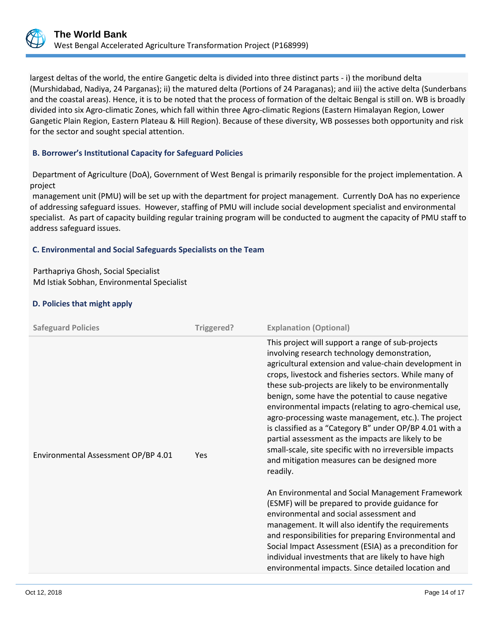

largest deltas of the world, the entire Gangetic delta is divided into three distinct parts - i) the moribund delta (Murshidabad, Nadiya, 24 Parganas); ii) the matured delta (Portions of 24 Paraganas); and iii) the active delta (Sunderbans and the coastal areas). Hence, it is to be noted that the process of formation of the deltaic Bengal is still on. WB is broadly divided into six Agro-climatic Zones, which fall within three Agro-climatic Regions (Eastern Himalayan Region, Lower Gangetic Plain Region, Eastern Plateau & Hill Region). Because of these diversity, WB possesses both opportunity and risk for the sector and sought special attention.

## **B. Borrower's Institutional Capacity for Safeguard Policies**

Department of Agriculture (DoA), Government of West Bengal is primarily responsible for the project implementation. A project

management unit (PMU) will be set up with the department for project management. Currently DoA has no experience of addressing safeguard issues. However, staffing of PMU will include social development specialist and environmental specialist. As part of capacity building regular training program will be conducted to augment the capacity of PMU staff to address safeguard issues.

## **C. Environmental and Social Safeguards Specialists on the Team**

Parthapriya Ghosh, Social Specialist Md Istiak Sobhan, Environmental Specialist

## **D. Policies that might apply**

| <b>Safeguard Policies</b>           | Triggered?      | <b>Explanation (Optional)</b>                                                                                                                                                                                                                                                                                                                                                                                                                                                                                                                                                                                                                                                |
|-------------------------------------|-----------------|------------------------------------------------------------------------------------------------------------------------------------------------------------------------------------------------------------------------------------------------------------------------------------------------------------------------------------------------------------------------------------------------------------------------------------------------------------------------------------------------------------------------------------------------------------------------------------------------------------------------------------------------------------------------------|
| Environmental Assessment OP/BP 4.01 | Yes<br>readily. | This project will support a range of sub-projects<br>involving research technology demonstration,<br>agricultural extension and value-chain development in<br>crops, livestock and fisheries sectors. While many of<br>these sub-projects are likely to be environmentally<br>benign, some have the potential to cause negative<br>environmental impacts (relating to agro-chemical use,<br>agro-processing waste management, etc.). The project<br>is classified as a "Category B" under OP/BP 4.01 with a<br>partial assessment as the impacts are likely to be<br>small-scale, site specific with no irreversible impacts<br>and mitigation measures can be designed more |
|                                     |                 | An Environmental and Social Management Framework<br>(ESMF) will be prepared to provide guidance for<br>environmental and social assessment and<br>management. It will also identify the requirements<br>and responsibilities for preparing Environmental and<br>Social Impact Assessment (ESIA) as a precondition for<br>individual investments that are likely to have high<br>environmental impacts. Since detailed location and                                                                                                                                                                                                                                           |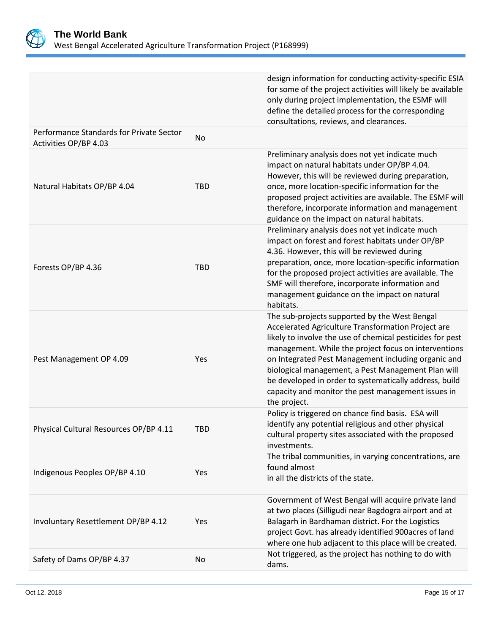

|                                                                   |            | design information for conducting activity-specific ESIA<br>for some of the project activities will likely be available<br>only during project implementation, the ESMF will<br>define the detailed process for the corresponding<br>consultations, reviews, and clearances.                                                                                                                                                                                          |
|-------------------------------------------------------------------|------------|-----------------------------------------------------------------------------------------------------------------------------------------------------------------------------------------------------------------------------------------------------------------------------------------------------------------------------------------------------------------------------------------------------------------------------------------------------------------------|
| Performance Standards for Private Sector<br>Activities OP/BP 4.03 | No         |                                                                                                                                                                                                                                                                                                                                                                                                                                                                       |
| Natural Habitats OP/BP 4.04                                       | <b>TBD</b> | Preliminary analysis does not yet indicate much<br>impact on natural habitats under OP/BP 4.04.<br>However, this will be reviewed during preparation,<br>once, more location-specific information for the<br>proposed project activities are available. The ESMF will<br>therefore, incorporate information and management<br>guidance on the impact on natural habitats.                                                                                             |
| Forests OP/BP 4.36                                                | <b>TBD</b> | Preliminary analysis does not yet indicate much<br>impact on forest and forest habitats under OP/BP<br>4.36. However, this will be reviewed during<br>preparation, once, more location-specific information<br>for the proposed project activities are available. The<br>SMF will therefore, incorporate information and<br>management guidance on the impact on natural<br>habitats.                                                                                 |
| Pest Management OP 4.09                                           | Yes        | The sub-projects supported by the West Bengal<br>Accelerated Agriculture Transformation Project are<br>likely to involve the use of chemical pesticides for pest<br>management. While the project focus on interventions<br>on Integrated Pest Management including organic and<br>biological management, a Pest Management Plan will<br>be developed in order to systematically address, build<br>capacity and monitor the pest management issues in<br>the project. |
| Physical Cultural Resources OP/BP 4.11                            | <b>TBD</b> | Policy is triggered on chance find basis. ESA will<br>identify any potential religious and other physical<br>cultural property sites associated with the proposed<br>investments.                                                                                                                                                                                                                                                                                     |
| Indigenous Peoples OP/BP 4.10                                     | Yes        | The tribal communities, in varying concentrations, are<br>found almost<br>in all the districts of the state.                                                                                                                                                                                                                                                                                                                                                          |
| Involuntary Resettlement OP/BP 4.12                               | Yes        | Government of West Bengal will acquire private land<br>at two places (Silligudi near Bagdogra airport and at<br>Balagarh in Bardhaman district. For the Logistics<br>project Govt. has already identified 900acres of land<br>where one hub adjacent to this place will be created.                                                                                                                                                                                   |
| Safety of Dams OP/BP 4.37                                         | No         | Not triggered, as the project has nothing to do with<br>dams.                                                                                                                                                                                                                                                                                                                                                                                                         |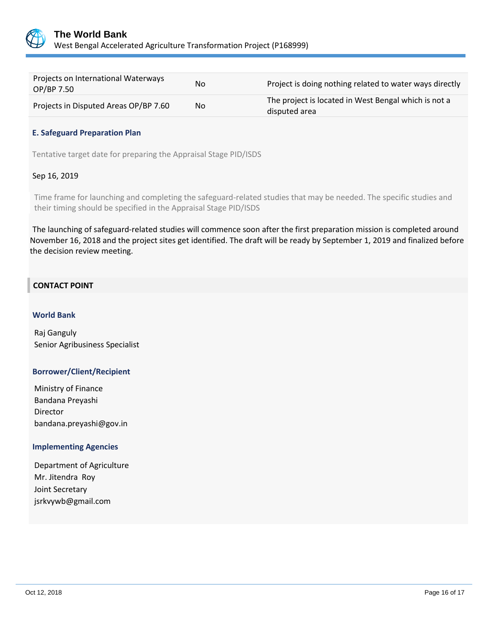

| Projects on International Waterways<br>OP/BP 7.50 | No  | Project is doing nothing related to water ways directly               |
|---------------------------------------------------|-----|-----------------------------------------------------------------------|
| Projects in Disputed Areas OP/BP 7.60             | No. | The project is located in West Bengal which is not a<br>disputed area |

#### **E. Safeguard Preparation Plan**

Tentative target date for preparing the Appraisal Stage PID/ISDS

## Sep 16, 2019

Time frame for launching and completing the safeguard-related studies that may be needed. The specific studies and their timing should be specified in the Appraisal Stage PID/ISDS

The launching of safeguard-related studies will commence soon after the first preparation mission is completed around November 16, 2018 and the project sites get identified. The draft will be ready by September 1, 2019 and finalized before the decision review meeting.

## **CONTACT POINT**

#### **World Bank**

Raj Ganguly Senior Agribusiness Specialist

#### **Borrower/Client/Recipient**

Ministry of Finance Bandana Preyashi Director bandana.preyashi@gov.in

#### **Implementing Agencies**

Department of Agriculture Mr. Jitendra Roy Joint Secretary jsrkvywb@gmail.com